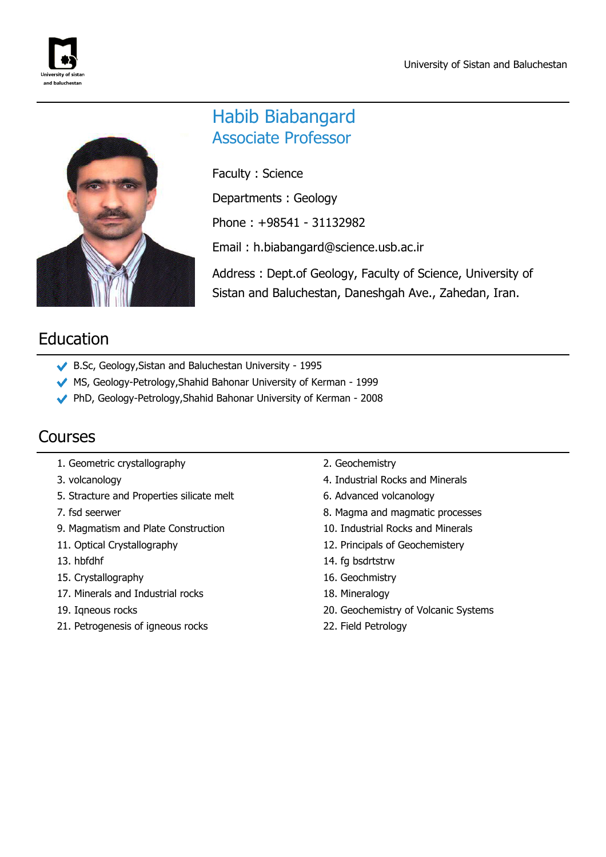

# Habib Biabangard Associate Professor

Faculty : Science Departments : Geology Phone : +98541 - 31132982 Email : h.biabangard@science.usb.ac.ir Address : Dept.of Geology, Faculty of Science, University of

Sistan and Baluchestan, Daneshgah Ave., Zahedan, Iran.

# Education

- B.Sc, Geology,Sistan and Baluchestan University 1995
- MS, Geology-Petrology,Shahid Bahonar University of Kerman 1999
- PhD, Geology-Petrology,Shahid Bahonar University of Kerman 2008

# Courses

- 1. Geometric crystallography 2. Geochemistry
- 
- 5. Stracture and Properties silicate melt 6. Advanced volcanology
- 
- 9. Magmatism and Plate Construction 10. Industrial Rocks and Minerals
- 
- 
- 15. Crystallography 16. Geochmistry
- 17. Minerals and Industrial rocks 18. Mineralogy
- 
- 21. Petrogenesis of igneous rocks 22. Field Petrology
- 
- 3. volcanology 4. Industrial Rocks and Minerals
	-
- 7. fsd seerwer 8. Magma and magmatic processes
	-
- 11. Optical Crystallography 12. Principals of Geochemistery
- 13. hbfdhf 13. hbfdhf 14. fg bsdrtstrw
	-
	-
- 19. Iqneous rocks 20. Geochemistry of Volcanic Systems
	-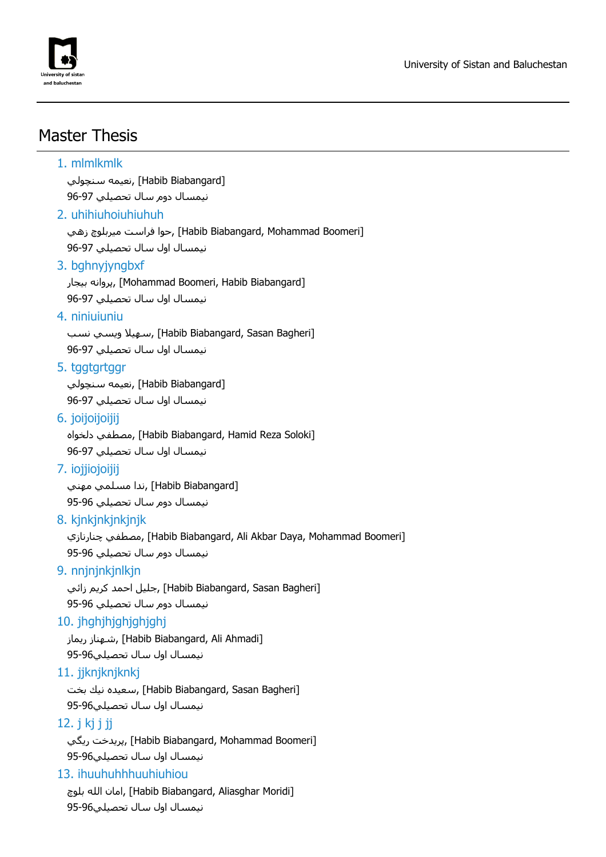

# Master Thesis

### 1. mlmlkmlk

[Biabangard Habib [,نعيمه سنچولي

نيمسال دوم سال تحصيلي 96-97

### 2. uhihiuhoiuhiuhuh

[Boomeri Mohammad ,Biabangard Habib [,حوا فراست ميربلوچ زهي نيمسال اول سال تحصيلي 96-97

#### 3. bghnyjyngbxf

بيروانه بيجار, [Mohammad Boomeri, Habib Biabangard] نيمسال اول سال تحصيلي 96-97

#### 4. niniuiuniu

سهيلا ويسي نسب (Habib Biabangard, Sasan Bagheri] نيمسال اول سال تحصيلي 96-97

#### 5. tggtgrtggr

[Biabangard Habib [,نعيمه سنچولي نيمسال اول سال تحصيلي 96-97

#### 6. joijoijoijij

مصطفى دلخواه, [Habib Biabangard, Hamid Reza Soloki] نيمسال اول سال تحصيلي 96-97

#### 7. iojjiojoijij

[Biabangard Habib [,ندا مسلمي مهني نيمسال دوم سال تحصيلي 95-96

#### 8. kjnkjnkjnkjnjk

چنارنازي, [Habib Biabangard, Ali Akbar Daya, Mohammad Boomeri] نيمسال دوم سال تحصيلي 95-96

### 9. nnjnjnkjnlkjn

[Habib Biabangard, Sasan Bagheri] ,جليل احمد كريم زائي

نيمسال دوم سال تحصيلي 95-96

### 10. jhghjhjghjghjghj

رشـهناز ريماز, [Habib Biabangard, Ali Ahmadi] نيمسال اول سال تحصيلي95-96

### 11. jjknjknjknkj

بسعيده نيك يخت UHabib Biabangard, Sasan Bagheri] نيمسال اول سال تحصيلي95-96

### 12. j kj j jj

ريگي پريدخت,] Habib Biabangard, Mohammad Boomeri] نيمسال اول سال تحصيلي95-96

### 13. ihuuhuhhhuuhiuhiou

امان الله بلوچ, [Habib Biabangard, Aliasghar Moridi] نيمسال اول سال تحصيلي95-96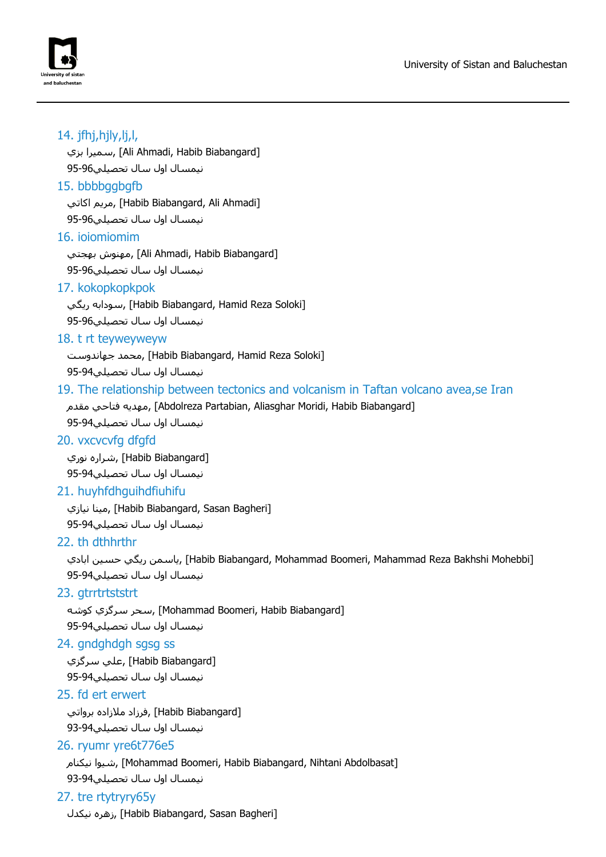

### 14. jfhj,hjly,lj,l,

بزي سميرا,] Ali Ahmadi, Habib Biabangard] نيمسال اول سال تحصيلي95-96

### 15. bbbbggbafb

مريم اكاتي, [Habib Biabangard, Ali Ahmadi] نيمسال اول سال تحصيلي95-96

#### 16. ioiomiomim

مهنوش بهجتي, [Ali Ahmadi, Habib Biabangard] نيمسال اول سال تحصيلي95-96

#### 17. kokopkopkpok

سودابه ريگي, [Habib Biabangard, Hamid Reza Soloki]

نيمسال اول سال تحصيلي95-96

#### 18. t rt teyweyweyw

محمد جهاندوست, [Habib Biabangard, Hamid Reza Soloki]

نيمسال اول سال تحصيلي95-94

19. The relationship between tectonics and volcanism in Taftan volcano avea,se Iran مهديه فتاحي مقدم, [Abdolreza Partabian, Aliasghar Moridi, Habib Biabangard]

نيمسال اول سال تحصيلي95-94

20. vxcvcvfg dfgfd

[Biabangard Habib [,شراره نوري نيمسال اول سال تحصيلي95-94

### 21. huyhfdhguihdfiuhifu

مينا نيازي, [Habib Biabangard, Sasan Bagheri] نيمسال اول سال تحصيلي95-94

### 22. th dthhrthr

ابادي حسين ريگي ياسمن,] Habib Biabangard, Mohammad Boomeri, Mahammad Reza Bakhshi Mohebbi] نيمسال اول سال تحصيلي95-94

#### 23. gtrrtrtststrt

سحر سرگزي كوشه, [Mohammad Boomeri, Habib Biabangard]

نيمسال اول سال تحصيلي95-94

#### 24. gndghdgh sgsg ss

[Biabangard Habib [,علي سرگزي

نيمسال اول سال تحصيلي95-94

#### 25. fd ert erwert

[Biabangard Habib [,فرزاد ملازاده برواتي

نيمسال اول سال تحصيلي93-94

#### 26. ryumr yre6t776e5

شيوا نيكنام, [Mohammad Boomeri, Habib Biabangard, Nihtani Abdolbasat]

نيمسال اول سال تحصيلي93-94

#### 27. tre rtytryry65y

نهره نيكدل, [Habib Biabangard, Sasan Bagheri]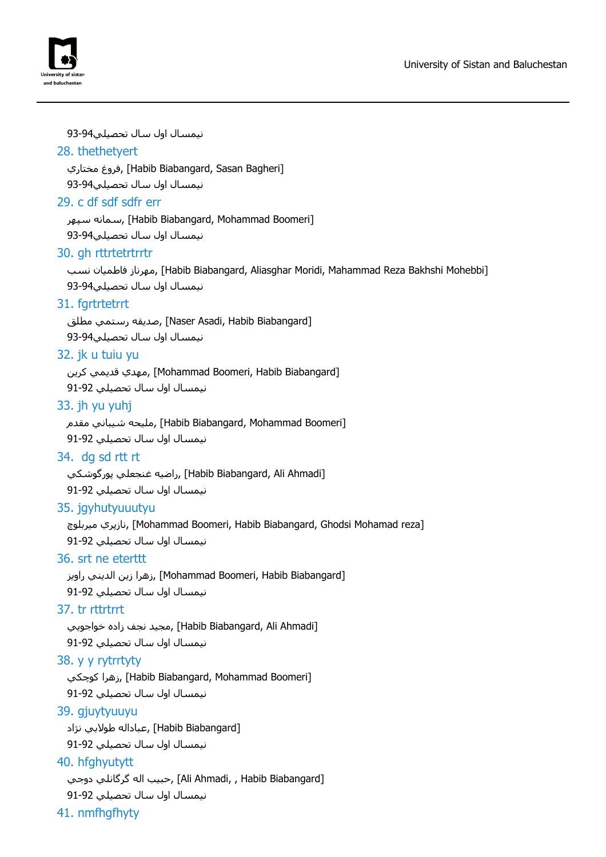

نيمسال اول سال تحصيلي93-94

#### 28. thethetyert

مختاري فروغ,] Habib Biabangard, Sasan Bagheri]

نيمسال اول سال تحصيلي93-94

#### 29. c df sdf sdfr err

سیمانه سپهر, [Habib Biabangard, Mohammad Boomeri]

نيمسال اول سال تحصيلي93-94

#### 30. gh rttrtetrtrrtr

نسب فاطميان مهرناز,] Habib Biabangard, Aliasghar Moridi, Mahammad Reza Bakhshi Mohebbi] نيمسال اول سال تحصيلي93-94

#### 31. fgrtrtetrrt

مديقه رستمي مطلق, [Naser Asadi, Habib Biabangard]

نيمسال اول سال تحصيلي93-94

#### 32. jk u tuiu yu

مهدي قديمي كرين, [Mohammad Boomeri, Habib Biabangard] نيمسال اول سال تحصيلي 91-92

#### 33. jh yu yuhj

مليحه شيباني مقدم, [Habib Biabangard, Mohammad Boomeri] نيمسال اول سال تحصيلي 91-92

#### 34. dg sd rtt rt

پورگوشكي غنجعلي راضيه,] Habib Biabangard, Ali Ahmadi] نيمسال اول سال تحصيلي 91-92

#### 35. jgyhutyuuutyu

نازپري ميربلوچ, [Mohammad Boomeri, Habib Biabangard, Ghodsi Mohamad reza] نيمسال اول سال تحصيلي 91-92

#### 36. srt ne eterttt

[Biabangard Habib ,Boomeri Mohammad [,زهرا زين الديني راويز نيمسال اول سال تحصيلي 91-92

#### 37. tr rttrtrrt

[Ahmadi Ali ,Biabangard Habib [,مجيد نجف زاده خواجويي نيمسال اول سال تحصيلي 91-92

#### 38. y y rytrrtyty

كوچكي زهرا,] Habib Biabangard, Mohammad Boomeri]

نيمسال اول سال تحصيلي 91-92

#### 39. gjuytyuuyu

[Biabangard Habib [,عباداله طولابي نژاد نيمسال اول سال تحصيلي 91-92

### 40. hfghyutytt

[Biabangard Habib , ,Ahmadi Ali [,حبيب اله گرگانلي دوجي

نيمسال اول سال تحصيلي 91-92

41. nmfhgfhyty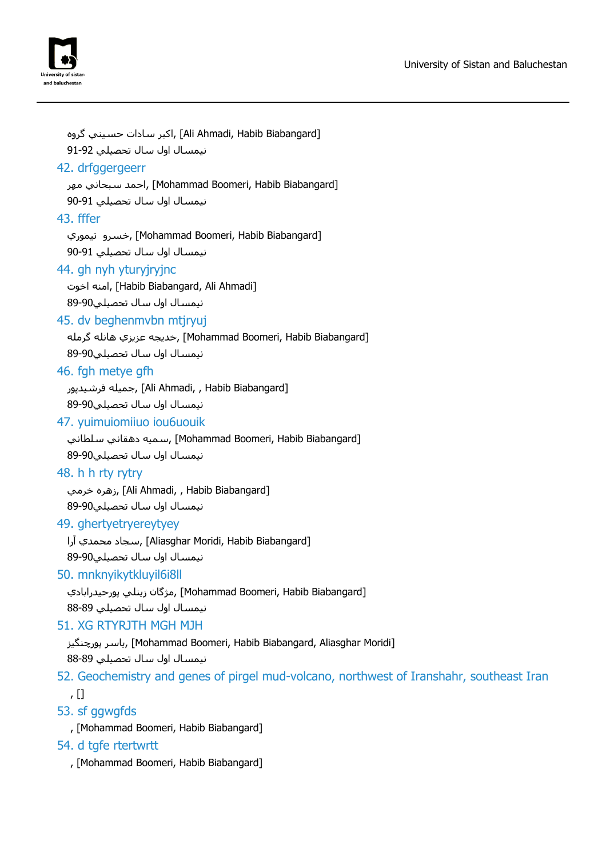

[Biabangard Habib ,Ahmadi Ali [,اكبر سادات حسيني گروه نيمسال اول سال تحصيلي 91-92 42. drfggergeerr محمد سبحاني مهر, [Mohammad Boomeri, Habib Biabangard] نيمسال اول سال تحصيلي 90-91 43. fffer تيموري خسرو,] Mohammad Boomeri, Habib Biabangard] نيمسال اول سال تحصيلي 90-91 44. gh nyh yturyjryjnc امنه اخوت, [Habib Biabangard, Ali Ahmadi] نيمسال اول سال تحصيلي89-90 45. dv beghenmvbn mtjryuj خديجه عزيزي هانله گرمله, [Mohammad Boomeri, Habib Biabangard] نيمسال اول سال تحصيلي89-90 46. fgh metye gfh جميله فرشيدپور, [Ali Ahmadi, , Habib Biabangard] نيمسال اول سال تحصيلي89-90 47. yuimuiomiiuo iou6uouik سميه دهقاني سلطاني, [Mohammad Boomeri, Habib Biabangard] نيمسال اول سال تحصيلي89-90 48. h h rty rytry زهره خرمي, [Ali Ahmadi, , Habib Biabangard] نيمسال اول سال تحصيلي89-90 49. ghertyetryereytyey آرا محمدي سجاد,] Aliasghar Moridi, Habib Biabangard] نيمسال اول سال تحصيلي89-90 50. mnknyikytkluyil6i8ll پورحيدرابادي (Mohammad Boomeri, Habib Biabangard] مژگان زينلي پورحيدرابادي نيمسال اول سال تحصيلي 88-89 51. XG RTYRJTH MGH MJH پورچنگيز ياسر,] Mohammad Boomeri, Habib Biabangard, Aliasghar Moridi] نيمسال اول سال تحصيلي 88-89 52. Geochemistry and genes of pirgel mud-volcano, northwest of Iranshahr, southeast Iran , [] 53. sf ggwgfds , [Mohammad Boomeri, Habib Biabangard] 54. d tgfe rtertwrtt , [Mohammad Boomeri, Habib Biabangard]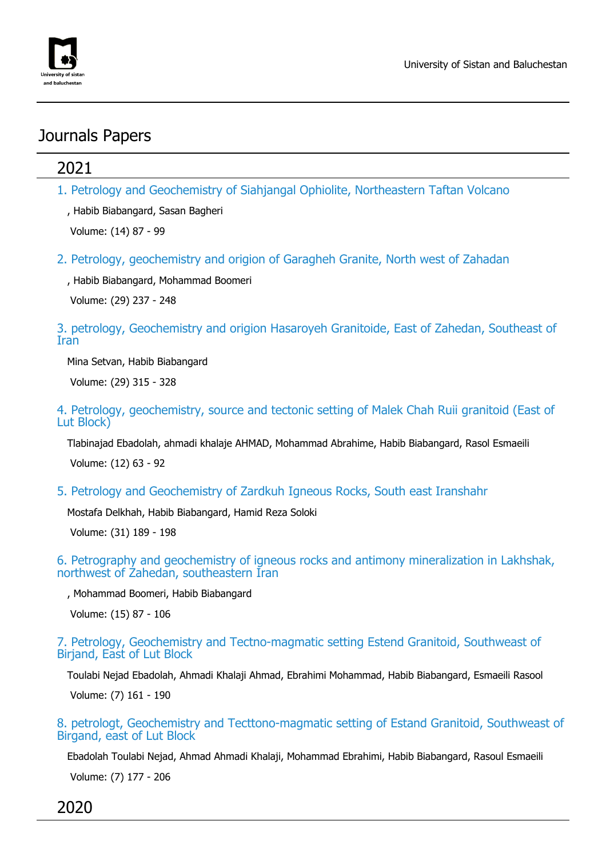

# Journals Papers

# 2021

1. Petrology and Geochemistry of Siahjangal Ophiolite, Northeastern Taftan Volcano

, Habib Biabangard, Sasan Bagheri

Volume: (14) 87 - 99

2. Petrology, geochemistry and origion of Garagheh Granite, North west of Zahadan

, Habib Biabangard, Mohammad Boomeri

Volume: (29) 237 - 248

3. petrology, Geochemistry and origion Hasaroyeh Granitoide, East of Zahedan, Southeast of Iran

Mina Setvan, Habib Biabangard

Volume: (29) 315 - 328

4. Petrology, geochemistry, source and tectonic setting of Malek Chah Ruii granitoid (East of Lut Block)

Tlabinajad Ebadolah, ahmadi khalaje AHMAD, Mohammad Abrahime, Habib Biabangard, Rasol Esmaeili Volume: (12) 63 - 92

5. Petrology and Geochemistry of Zardkuh Igneous Rocks, South east Iranshahr

Mostafa Delkhah, Habib Biabangard, Hamid Reza Soloki

Volume: (31) 189 - 198

#### 6. Petrography and geochemistry of igneous rocks and antimony mineralization in Lakhshak, northwest of Zahedan, southeastern Iran

, Mohammad Boomeri, Habib Biabangard

Volume: (15) 87 - 106

#### 7. Petrology, Geochemistry and Tectno-magmatic setting Estend Granitoid, Southweast of Birjand, East of Lut Block

Toulabi Nejad Ebadolah, Ahmadi Khalaji Ahmad, Ebrahimi Mohammad, Habib Biabangard, Esmaeili Rasool Volume: (7) 161 - 190

#### 8. petrologt, Geochemistry and Tecttono-magmatic setting of Estand Granitoid, Southweast of Birgand, east of Lut Block

Ebadolah Toulabi Nejad, Ahmad Ahmadi Khalaji, Mohammad Ebrahimi, Habib Biabangard, Rasoul Esmaeili

Volume: (7) 177 - 206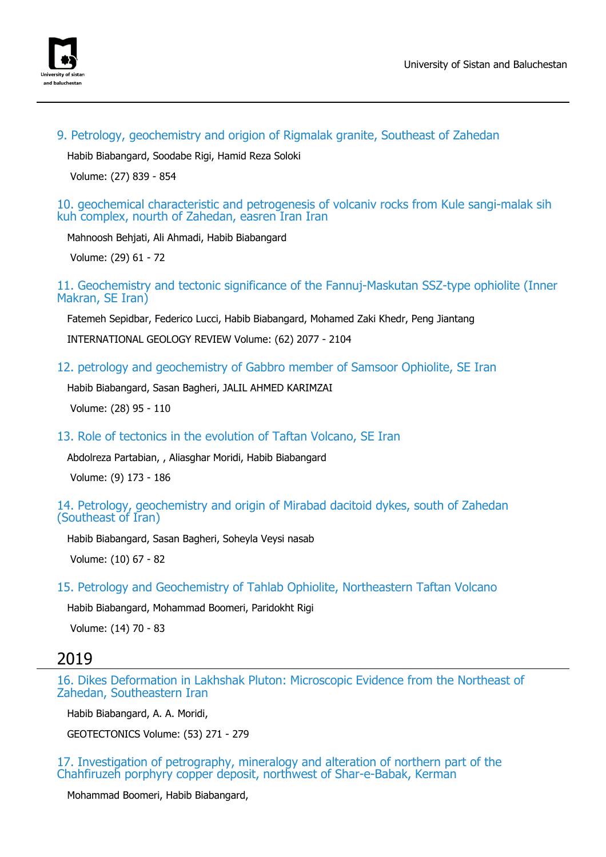

#### 9. Petrology, geochemistry and origion of Rigmalak granite, Southeast of Zahedan

Habib Biabangard, Soodabe Rigi, Hamid Reza Soloki

Volume: (27) 839 - 854

10. geochemical characteristic and petrogenesis of volcaniv rocks from Kule sangi-malak sih kuh complex, nourth of Zahedan, easren Iran Iran

Mahnoosh Behjati, Ali Ahmadi, Habib Biabangard

Volume: (29) 61 - 72

#### 11. Geochemistry and tectonic significance of the Fannuj-Maskutan SSZ-type ophiolite (Inner Makran, SE Iran)

Fatemeh Sepidbar, Federico Lucci, Habib Biabangard, Mohamed Zaki Khedr, Peng Jiantang INTERNATIONAL GEOLOGY REVIEW Volume: (62) 2077 - 2104

#### 12. petrology and geochemistry of Gabbro member of Samsoor Ophiolite, SE Iran

Habib Biabangard, Sasan Bagheri, JALIL AHMED KARIMZAI

Volume: (28) 95 - 110

#### 13. Role of tectonics in the evolution of Taftan Volcano, SE Iran

Abdolreza Partabian, , Aliasghar Moridi, Habib Biabangard

Volume: (9) 173 - 186

#### 14. Petrology, geochemistry and origin of Mirabad dacitoid dykes, south of Zahedan (Southeast of Iran)

Habib Biabangard, Sasan Bagheri, Soheyla Veysi nasab

Volume: (10) 67 - 82

#### 15. Petrology and Geochemistry of Tahlab Ophiolite, Northeastern Taftan Volcano

Habib Biabangard, Mohammad Boomeri, Paridokht Rigi

Volume: (14) 70 - 83

#### 2019

16. Dikes Deformation in Lakhshak Pluton: Microscopic Evidence from the Northeast of Zahedan, Southeastern Iran

Habib Biabangard, A. A. Moridi,

GEOTECTONICS Volume: (53) 271 - 279

17. Investigation of petrography, mineralogy and alteration of northern part of the Chahfiruzeh porphyry copper deposit, northwest of Shar-e-Babak, Kerman

Mohammad Boomeri, Habib Biabangard,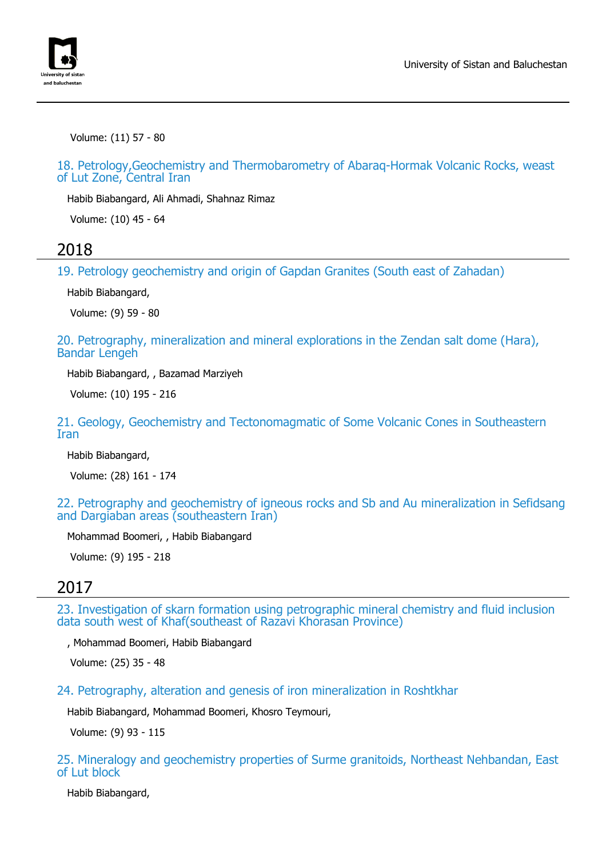

Volume: (11) 57 - 80

18. Petrology,Geochemistry and Thermobarometry of Abaraq-Hormak Volcanic Rocks, weast of Lut Zone, Central Iran

Habib Biabangard, Ali Ahmadi, Shahnaz Rimaz

Volume: (10) 45 - 64

### 2018

19. Petrology geochemistry and origin of Gapdan Granites (South east of Zahadan)

Habib Biabangard,

Volume: (9) 59 - 80

20. Petrography, mineralization and mineral explorations in the Zendan salt dome (Hara), Bandar Lengeh

Habib Biabangard, , Bazamad Marziyeh

Volume: (10) 195 - 216

21. Geology, Geochemistry and Tectonomagmatic of Some Volcanic Cones in Southeastern Iran

Habib Biabangard,

Volume: (28) 161 - 174

22. Petrography and geochemistry of igneous rocks and Sb and Au mineralization in Sefidsang and Dargiaban areas (southeastern Iran)

Mohammad Boomeri, , Habib Biabangard

Volume: (9) 195 - 218

### 2017

23. Investigation of skarn formation using petrographic mineral chemistry and fluid inclusion data south west of Khaf(southeast of Razavi Khorasan Province)

, Mohammad Boomeri, Habib Biabangard

Volume: (25) 35 - 48

24. Petrography, alteration and genesis of iron mineralization in Roshtkhar

Habib Biabangard, Mohammad Boomeri, Khosro Teymouri,

Volume: (9) 93 - 115

#### 25. Mineralogy and geochemistry properties of Surme granitoids, Northeast Nehbandan, East of Lut block

Habib Biabangard,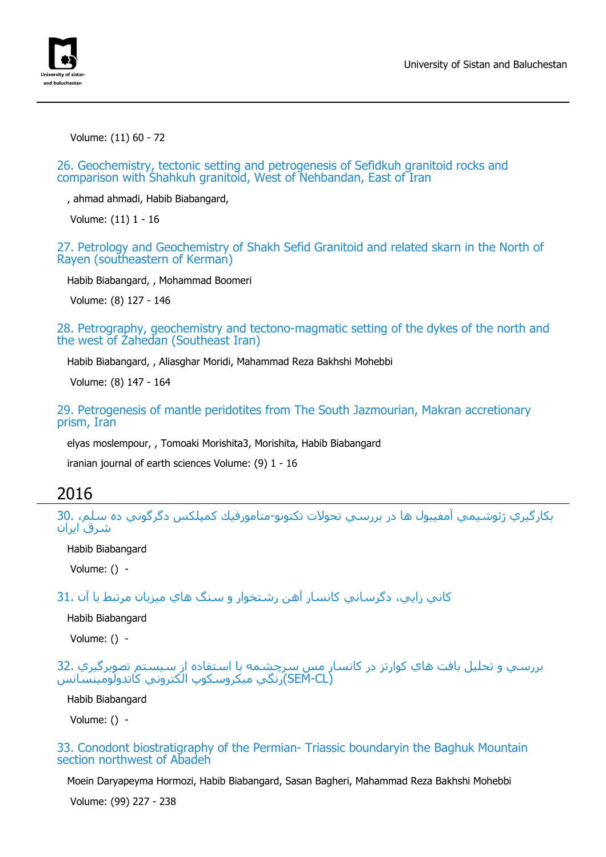

Volume: (11) 60 - 72

26. Geochemistry, tectonic setting and petrogenesis of Sefidkuh granitoid rocks and comparison with Shahkuh granitoid, West of Nehbandan, East of Iran

, ahmad ahmadi, Habib Biabangard,

Volume: (11) 1 - 16

27. Petrology and Geochemistry of Shakh Sefid Granitoid and related skarn in the North of Rayen (southeastern of Kerman)

Habib Biabangard, , Mohammad Boomeri

Volume: (8) 127 - 146

28. Petrography, geochemistry and tectono-magmatic setting of the dykes of the north and the west of Zahedan (Southeast Iran)

Habib Biabangard, , Aliasghar Moridi, Mahammad Reza Bakhshi Mohebbi

Volume: (8) 147 - 164

29. Petrogenesis of mantle peridotites from The South Jazmourian, Makran accretionary prism, Iran

elyas moslempour, , Tomoaki Morishita3, Morishita, Habib Biabangard

iranian journal of earth sciences Volume: (9) 1 - 16

### 2016

بكارگيري ژئوشيمي آمفيبول ها در بررسي تحولات تكتونو-متامورفيك كمپلكس دگرگوني ده سلم، 30. شرق ايران

Habib Biabangard

Volume: () -

كاني زايي، دگرساني كانسار آهن رشتخوار و سنگ هاي ميزبان مرتبط با آن 31.

Habib Biabangard

Volume: () -

بررسي و تحليل بافت هاي كوارتز در كانسار مس سرچشمه با استفاده از سيستم تصويرگيري 32. (CL-SEM(رنگي ميكروسكوپ الكتروني كاتدولومينسانس

Habib Biabangard

Volume: () -

#### 33. Conodont biostratigraphy of the Permian- Triassic boundaryin the Baghuk Mountain section northwest of Abadeh

Moein Daryapeyma Hormozi, Habib Biabangard, Sasan Bagheri, Mahammad Reza Bakhshi Mohebbi

Volume: (99) 227 - 238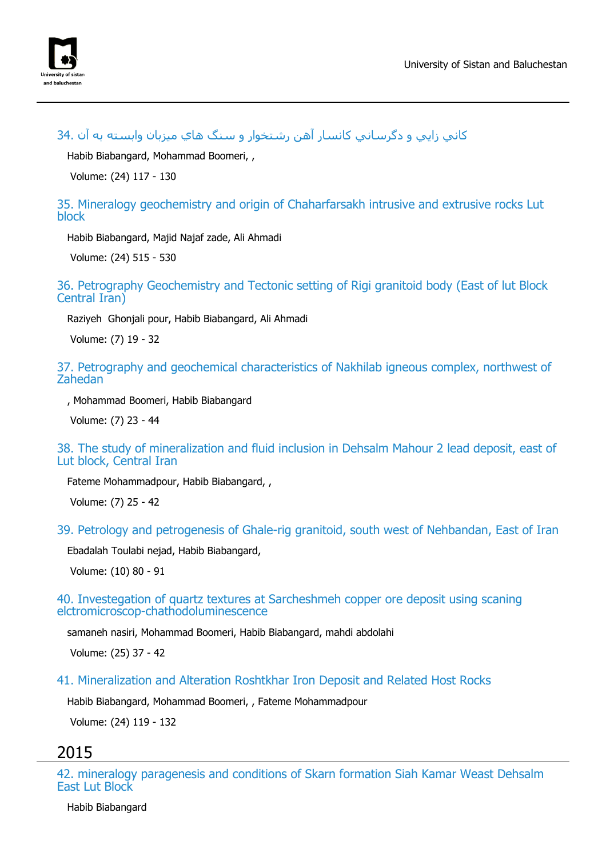

كاني زايي و دگرساني كانسار آهن رشتخوار و سنگ هاي ميزبان وابسته به آن 34.

Habib Biabangard, Mohammad Boomeri, ,

Volume: (24) 117 - 130

35. Mineralogy geochemistry and origin of Chaharfarsakh intrusive and extrusive rocks Lut block

Habib Biabangard, Majid Najaf zade, Ali Ahmadi

Volume: (24) 515 - 530

36. Petrography Geochemistry and Tectonic setting of Rigi granitoid body (East of lut Block Central Iran)

Raziyeh Ghonjali pour, Habib Biabangard, Ali Ahmadi

Volume: (7) 19 - 32

37. Petrography and geochemical characteristics of Nakhilab igneous complex, northwest of Zahedan

, Mohammad Boomeri, Habib Biabangard

Volume: (7) 23 - 44

38. The study of mineralization and fluid inclusion in Dehsalm Mahour 2 lead deposit, east of Lut block, Central Iran

Fateme Mohammadpour, Habib Biabangard, ,

Volume: (7) 25 - 42

39. Petrology and petrogenesis of Ghale-rig granitoid, south west of Nehbandan, East of Iran

Ebadalah Toulabi nejad, Habib Biabangard,

Volume: (10) 80 - 91

40. Investegation of quartz textures at Sarcheshmeh copper ore deposit using scaning elctromicroscop-chathodoluminescence

samaneh nasiri, Mohammad Boomeri, Habib Biabangard, mahdi abdolahi

Volume: (25) 37 - 42

41. Mineralization and Alteration Roshtkhar Iron Deposit and Related Host Rocks

Habib Biabangard, Mohammad Boomeri, , Fateme Mohammadpour

Volume: (24) 119 - 132

### 2015

42. mineralogy paragenesis and conditions of Skarn formation Siah Kamar Weast Dehsalm East Lut Block

Habib Biabangard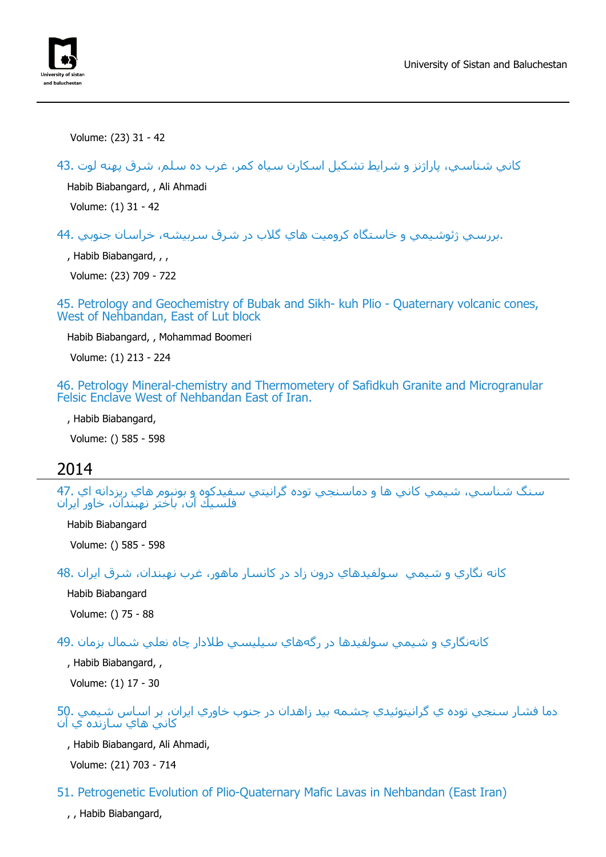

Volume: (23) 31 - 42

كاني شناسي، پاراژنز و شرايط تشكيل اسكارن سياه كمر، غرب ده سلم، شرق پهنه لوت 43.

Habib Biabangard, , Ali Ahmadi

Volume: (1) 31 - 42

.بررسي ژئوشيمي و خاستگاه كروميت هاي گلاب در شرق سربيشه، خراسان جنوبي 44.

, Habib Biabangard, , ,

Volume: (23) 709 - 722

45. Petrology and Geochemistry of Bubak and Sikh- kuh Plio - Quaternary volcanic cones, West of Nehbandan, East of Lut block

Habib Biabangard, , Mohammad Boomeri

Volume: (1) 213 - 224

46. Petrology Mineral-chemistry and Thermometery of Safidkuh Granite and Microgranular Felsic Enclave West of Nehbandan East of Iran.

, Habib Biabangard,

Volume: () 585 - 598

### 2014

سنگ شناسي، شيمي كاني ها و دماسنجي توده گرانيتي سفيدكوه و بونبوم هاي ريزدانه اي 47. فلسيك آن، باختر نهبندان، خاور ايران

Habib Biabangard

Volume: () 585 - 598

كانه نگاري و شيمي سولفيدهاي درون زاد در كانسار ماهور، غرب نهبندان، شرق ايران 48.

Habib Biabangard

Volume: () 75 - 88

كانهنگاري و شيمي سولفيدها در رگههاي سيليسي طلادار چاه نعلي شمال بزمان 49.

, Habib Biabangard, ,

Volume: (1) 17 - 30

دما فشار سنجي توده ي گرانيتوئيدي چشمه بيد زاهدان در جنوب خاوري ايران، بر اساس شيمي 50. كاني هاي سازنده ي آن

, Habib Biabangard, Ali Ahmadi,

Volume: (21) 703 - 714

51. Petrogenetic Evolution of Plio-Quaternary Mafic Lavas in Nehbandan (East Iran)

, , Habib Biabangard,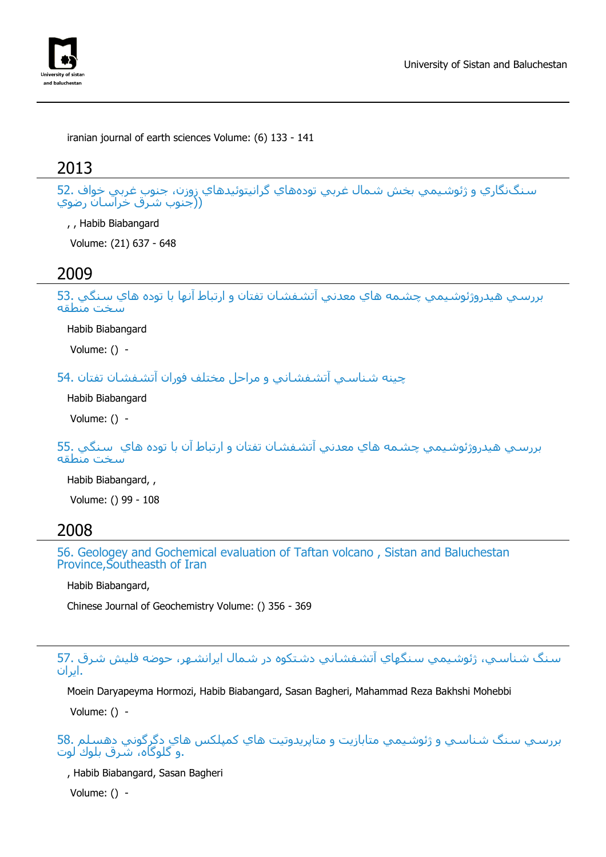

iranian journal of earth sciences Volume: (6) 133 - 141

### 2013

سنگنگاري و ژئوشيمي بخش شمال غربي تودههاي گرانيتوئيدهاي زوزن، جنوب غربي خواف 52. ((جنوب شرق خراسان رضوي

, , Habib Biabangard

Volume: (21) 637 - 648

### 2009

بررسي هيدروژئوشيمي چشمه هاي معدني آتشفشان تفتان و ارتباط آنها با توده هاي سنگي 53. سخت منطقه

Habib Biabangard

Volume: () -

چينه شناسي آتشفشاني و مراحل مختلف فوران آتشفشان تفتان 54.

Habib Biabangard

Volume: () -

بررسي هيدروژئوشيمي چشمه هاي معدني آتشفشان تفتان و ارتباط آن با توده هاي سنگي 55. سخت منطقه

Habib Biabangard, , Volume: () 99 - 108

### 2008

56. Geologey and Gochemical evaluation of Taftan volcano , Sistan and Baluchestan Province, Southeasth of Iran

Habib Biabangard,

Chinese Journal of Geochemistry Volume: () 356 - 369

سنگ شناسي، ژئوشيمي سنگهاي آتشفشاني دشتكوه در شمال ايرانشهر، حوضه فليش شرق 57. .ايران

Moein Daryapeyma Hormozi, Habib Biabangard, Sasan Bagheri, Mahammad Reza Bakhshi Mohebbi

Volume: () -

بررسي سنگ شناسي و ژئوشيمي متابازيت و متاپريدوتيت هاي كمپلكس هاي دگرگوني دهسلم 58. .و گلوگاه، شرق بلوك لوت

, Habib Biabangard, Sasan Bagheri

Volume: () -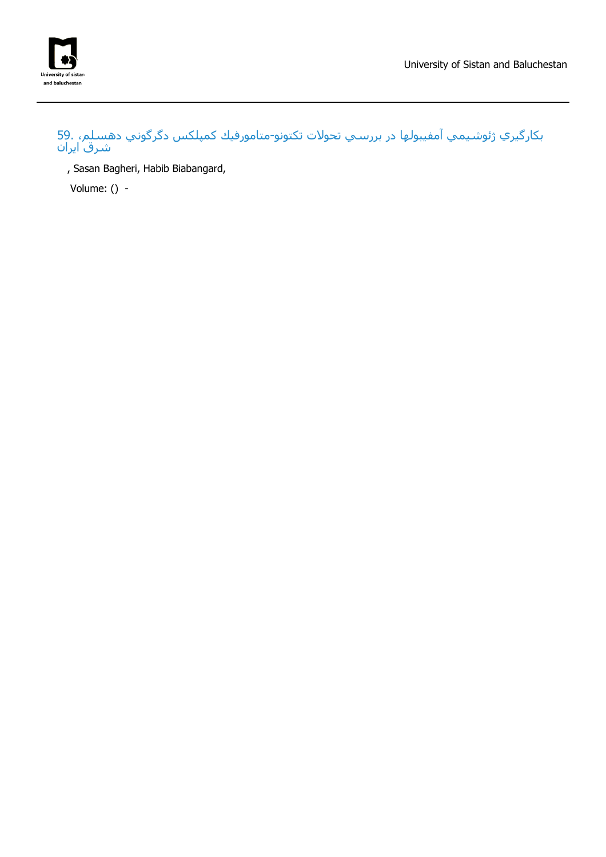

بكارگيري ژئوشيمي آمفيبولها در بررسي تحولات تكتونو-متامورفيك كمپلكس دگرگوني دهسلم، 59. شرق ايران

, Sasan Bagheri, Habib Biabangard,

Volume: () -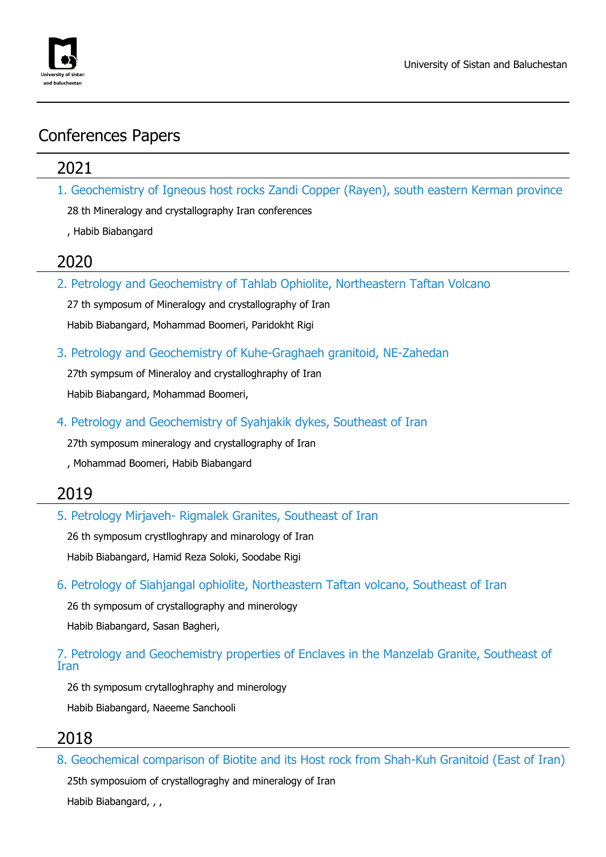

# Conferences Papers

# 2021

1. Geochemistry of Igneous host rocks Zandi Copper (Rayen), south eastern Kerman province

28 th Mineralogy and crystallography Iran conferences

, Habib Biabangard

# 2020

2. Petrology and Geochemistry of Tahlab Ophiolite, Northeastern Taftan Volcano

27 th symposum of Mineralogy and crystallography of Iran Habib Biabangard, Mohammad Boomeri, Paridokht Rigi

3. Petrology and Geochemistry of Kuhe-Graghaeh granitoid, NE-Zahedan

27th sympsum of Mineraloy and crystalloghraphy of Iran Habib Biabangard, Mohammad Boomeri,

4. Petrology and Geochemistry of Syahjakik dykes, Southeast of Iran

27th symposum mineralogy and crystallography of Iran

, Mohammad Boomeri, Habib Biabangard

# 2019

5. Petrology Mirjaveh- Rigmalek Granites, Southeast of Iran

26 th symposum crystlloghrapy and minarology of Iran Habib Biabangard, Hamid Reza Soloki, Soodabe Rigi

6. Petrology of Siahjangal ophiolite, Northeastern Taftan volcano, Southeast of Iran

26 th symposum of crystallography and minerology

Habib Biabangard, Sasan Bagheri,

7. Petrology and Geochemistry properties of Enclaves in the Manzelab Granite, Southeast of Iran

26 th symposum crytalloghraphy and minerology Habib Biabangard, Naeeme Sanchooli

# 2018

8. Geochemical comparison of Biotite and its Host rock from Shah-Kuh Granitoid (East of Iran)

25th symposuiom of crystallograghy and mineralogy of Iran Habib Biabangard, , ,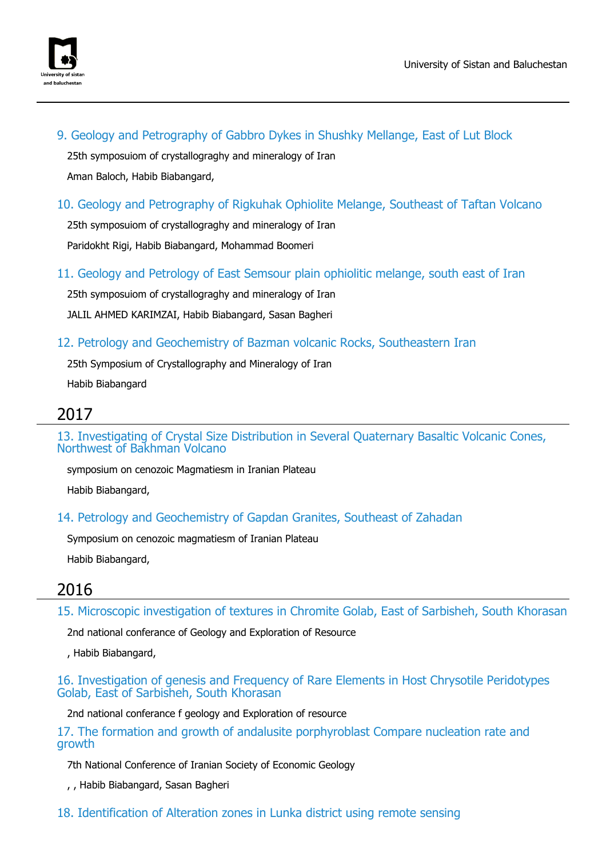

9. Geology and Petrography of Gabbro Dykes in Shushky Mellange, East of Lut Block

25th symposuiom of crystallograghy and mineralogy of Iran

Aman Baloch, Habib Biabangard,

10. Geology and Petrography of Rigkuhak Ophiolite Melange, Southeast of Taftan Volcano

25th symposuiom of crystallograghy and mineralogy of Iran Paridokht Rigi, Habib Biabangard, Mohammad Boomeri

11. Geology and Petrology of East Semsour plain ophiolitic melange, south east of Iran 25th symposuiom of crystallograghy and mineralogy of Iran

JALIL AHMED KARIMZAI, Habib Biabangard, Sasan Bagheri

12. Petrology and Geochemistry of Bazman volcanic Rocks, Southeastern Iran

25th Symposium of Crystallography and Mineralogy of Iran Habib Biabangard

## 2017

13. Investigating of Crystal Size Distribution in Several Quaternary Basaltic Volcanic Cones, Northwest of Bakhman Volcano

symposium on cenozoic Magmatiesm in Iranian Plateau

Habib Biabangard,

14. Petrology and Geochemistry of Gapdan Granites, Southeast of Zahadan

Symposium on cenozoic magmatiesm of Iranian Plateau

Habib Biabangard,

# 2016

15. Microscopic investigation of textures in Chromite Golab, East of Sarbisheh, South Khorasan

2nd national conferance of Geology and Exploration of Resource

, Habib Biabangard,

16. Investigation of genesis and Frequency of Rare Elements in Host Chrysotile Peridotypes Golab, East of Sarbisheh, South Khorasan

2nd national conferance f geology and Exploration of resource

17. The formation and growth of andalusite porphyroblast Compare nucleation rate and growth

7th National Conference of Iranian Society of Economic Geology

- , , Habib Biabangard, Sasan Bagheri
- 18. Identification of Alteration zones in Lunka district using remote sensing